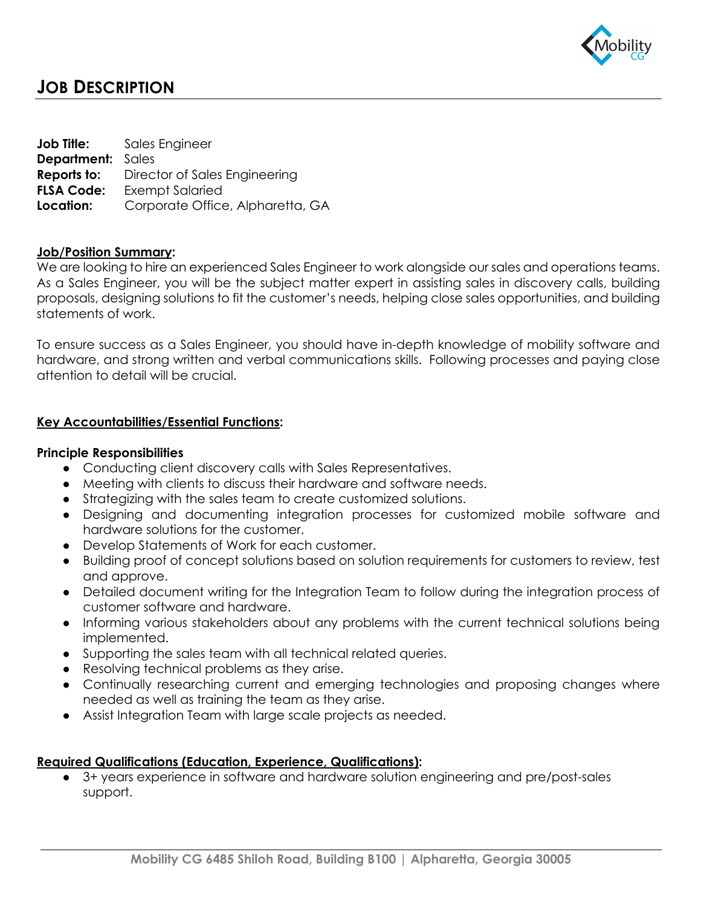

# **JOB DESCRIPTION**

**Job Title:** Sales Engineer **Department:** Sales **Reports to:** Director of Sales Engineering **FLSA Code:** Exempt Salaried **Location:** Corporate Office, Alpharetta, GA

## **Job/Position Summary:**

We are looking to hire an experienced Sales Engineer to work alongside our sales and operations teams. As a Sales Engineer, you will be the subject matter expert in assisting sales in discovery calls, building proposals, designing solutions to fit the customer's needs, helping close sales opportunities, and building statements of work.

To ensure success as a Sales Engineer, you should have in-depth knowledge of mobility software and hardware, and strong written and verbal communications skills. Following processes and paying close attention to detail will be crucial.

### **Key Accountabilities/Essential Functions:**

### **Principle Responsibilities**

- Conducting client discovery calls with Sales Representatives.
- Meeting with clients to discuss their hardware and software needs.
- Strategizing with the sales team to create customized solutions.
- Designing and documenting integration processes for customized mobile software and hardware solutions for the customer.
- Develop Statements of Work for each customer.
- Building proof of concept solutions based on solution requirements for customers to review, test and approve.
- Detailed document writing for the Integration Team to follow during the integration process of customer software and hardware.
- Informing various stakeholders about any problems with the current technical solutions being implemented.
- Supporting the sales team with all technical related queries.
- Resolving technical problems as they arise.
- Continually researching current and emerging technologies and proposing changes where needed as well as training the team as they arise.
- Assist Integration Team with large scale projects as needed.

### **Required Qualifications (Education, Experience, Qualifications):**

● 3+ years experience in software and hardware solution engineering and pre/post-sales support.